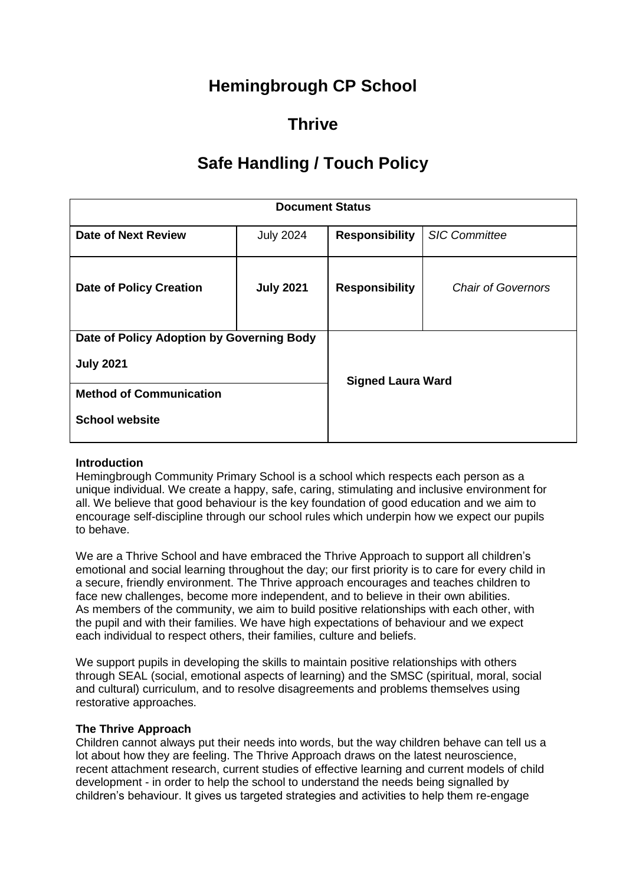# **Hemingbrough CP School**

# **Thrive**

# **Safe Handling / Touch Policy**

| <b>Document Status</b>                    |                  |                          |                           |
|-------------------------------------------|------------------|--------------------------|---------------------------|
| Date of Next Review                       | <b>July 2024</b> | <b>Responsibility</b>    | <b>SIC Committee</b>      |
| <b>Date of Policy Creation</b>            | <b>July 2021</b> | <b>Responsibility</b>    | <b>Chair of Governors</b> |
| Date of Policy Adoption by Governing Body |                  |                          |                           |
| <b>July 2021</b>                          |                  | <b>Signed Laura Ward</b> |                           |
| <b>Method of Communication</b>            |                  |                          |                           |
| <b>School website</b>                     |                  |                          |                           |

### **Introduction**

Hemingbrough Community Primary School is a school which respects each person as a unique individual. We create a happy, safe, caring, stimulating and inclusive environment for all. We believe that good behaviour is the key foundation of good education and we aim to encourage self-discipline through our school rules which underpin how we expect our pupils to behave.

We are a Thrive School and have embraced the Thrive Approach to support all children's emotional and social learning throughout the day; our first priority is to care for every child in a secure, friendly environment. The Thrive approach encourages and teaches children to face new challenges, become more independent, and to believe in their own abilities. As members of the community, we aim to build positive relationships with each other, with the pupil and with their families. We have high expectations of behaviour and we expect each individual to respect others, their families, culture and beliefs.

We support pupils in developing the skills to maintain positive relationships with others through SEAL (social, emotional aspects of learning) and the SMSC (spiritual, moral, social and cultural) curriculum, and to resolve disagreements and problems themselves using restorative approaches.

### **The Thrive Approach**

Children cannot always put their needs into words, but the way children behave can tell us a lot about how they are feeling. The Thrive Approach draws on the latest neuroscience, recent attachment research, current studies of effective learning and current models of child development - in order to help the school to understand the needs being signalled by children's behaviour. It gives us targeted strategies and activities to help them re-engage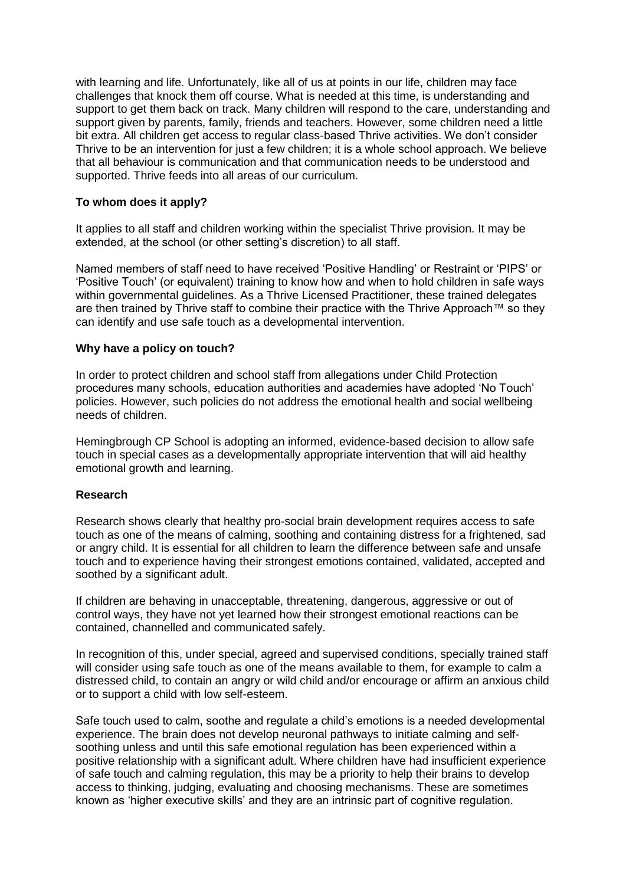with learning and life. Unfortunately, like all of us at points in our life, children may face challenges that knock them off course. What is needed at this time, is understanding and support to get them back on track. Many children will respond to the care, understanding and support given by parents, family, friends and teachers. However, some children need a little bit extra. All children get access to regular class-based Thrive activities. We don't consider Thrive to be an intervention for just a few children; it is a whole school approach. We believe that all behaviour is communication and that communication needs to be understood and supported. Thrive feeds into all areas of our curriculum.

## **To whom does it apply?**

It applies to all staff and children working within the specialist Thrive provision. It may be extended, at the school (or other setting's discretion) to all staff.

Named members of staff need to have received 'Positive Handling' or Restraint or 'PIPS' or 'Positive Touch' (or equivalent) training to know how and when to hold children in safe ways within governmental guidelines. As a Thrive Licensed Practitioner, these trained delegates are then trained by Thrive staff to combine their practice with the Thrive Approach™ so they can identify and use safe touch as a developmental intervention.

#### **Why have a policy on touch?**

In order to protect children and school staff from allegations under Child Protection procedures many schools, education authorities and academies have adopted 'No Touch' policies. However, such policies do not address the emotional health and social wellbeing needs of children.

Hemingbrough CP School is adopting an informed, evidence-based decision to allow safe touch in special cases as a developmentally appropriate intervention that will aid healthy emotional growth and learning.

### **Research**

Research shows clearly that healthy pro-social brain development requires access to safe touch as one of the means of calming, soothing and containing distress for a frightened, sad or angry child. It is essential for all children to learn the difference between safe and unsafe touch and to experience having their strongest emotions contained, validated, accepted and soothed by a significant adult.

If children are behaving in unacceptable, threatening, dangerous, aggressive or out of control ways, they have not yet learned how their strongest emotional reactions can be contained, channelled and communicated safely.

In recognition of this, under special, agreed and supervised conditions, specially trained staff will consider using safe touch as one of the means available to them, for example to calm a distressed child, to contain an angry or wild child and/or encourage or affirm an anxious child or to support a child with low self-esteem.

Safe touch used to calm, soothe and regulate a child's emotions is a needed developmental experience. The brain does not develop neuronal pathways to initiate calming and selfsoothing unless and until this safe emotional regulation has been experienced within a positive relationship with a significant adult. Where children have had insufficient experience of safe touch and calming regulation, this may be a priority to help their brains to develop access to thinking, judging, evaluating and choosing mechanisms. These are sometimes known as 'higher executive skills' and they are an intrinsic part of cognitive regulation.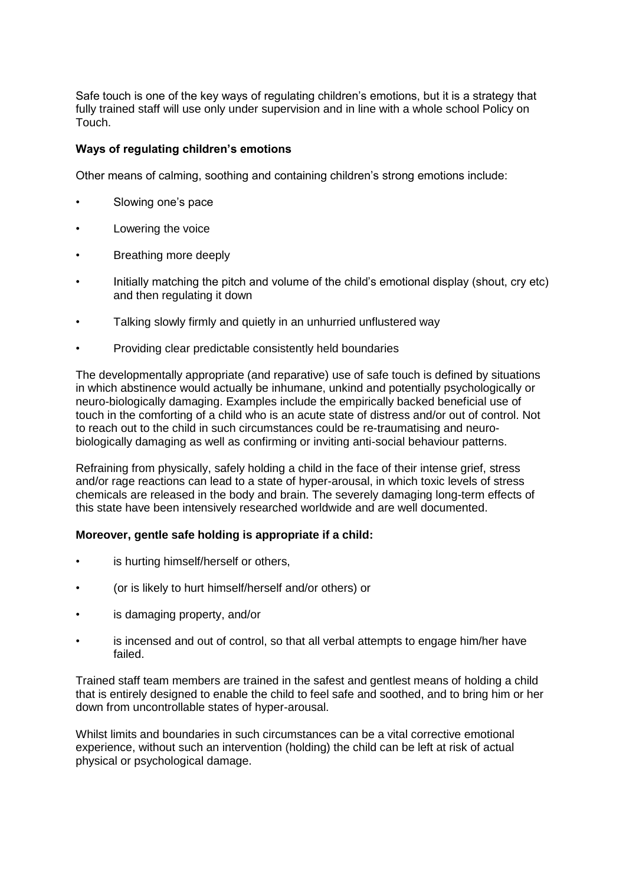Safe touch is one of the key ways of regulating children's emotions, but it is a strategy that fully trained staff will use only under supervision and in line with a whole school Policy on Touch.

## **Ways of regulating children's emotions**

Other means of calming, soothing and containing children's strong emotions include:

- Slowing one's pace
- Lowering the voice
- Breathing more deeply
- Initially matching the pitch and volume of the child's emotional display (shout, cry etc) and then regulating it down
- Talking slowly firmly and quietly in an unhurried unflustered way
- Providing clear predictable consistently held boundaries

The developmentally appropriate (and reparative) use of safe touch is defined by situations in which abstinence would actually be inhumane, unkind and potentially psychologically or neuro-biologically damaging. Examples include the empirically backed beneficial use of touch in the comforting of a child who is an acute state of distress and/or out of control. Not to reach out to the child in such circumstances could be re-traumatising and neurobiologically damaging as well as confirming or inviting anti-social behaviour patterns.

Refraining from physically, safely holding a child in the face of their intense grief, stress and/or rage reactions can lead to a state of hyper-arousal, in which toxic levels of stress chemicals are released in the body and brain. The severely damaging long-term effects of this state have been intensively researched worldwide and are well documented.

### **Moreover, gentle safe holding is appropriate if a child:**

- is hurting himself/herself or others.
- (or is likely to hurt himself/herself and/or others) or
- is damaging property, and/or
- is incensed and out of control, so that all verbal attempts to engage him/her have failed.

Trained staff team members are trained in the safest and gentlest means of holding a child that is entirely designed to enable the child to feel safe and soothed, and to bring him or her down from uncontrollable states of hyper-arousal.

Whilst limits and boundaries in such circumstances can be a vital corrective emotional experience, without such an intervention (holding) the child can be left at risk of actual physical or psychological damage.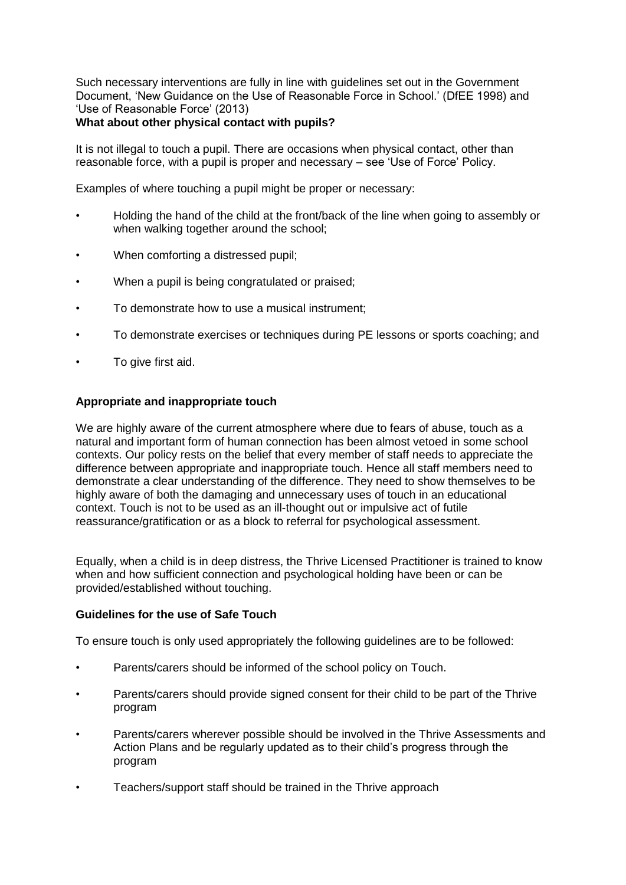Such necessary interventions are fully in line with guidelines set out in the Government Document, 'New Guidance on the Use of Reasonable Force in School.' (DfEE 1998) and 'Use of Reasonable Force' (2013)

## **What about other physical contact with pupils?**

It is not illegal to touch a pupil. There are occasions when physical contact, other than reasonable force, with a pupil is proper and necessary – see 'Use of Force' Policy.

Examples of where touching a pupil might be proper or necessary:

- Holding the hand of the child at the front/back of the line when going to assembly or when walking together around the school:
- When comforting a distressed pupil;
- When a pupil is being congratulated or praised;
- To demonstrate how to use a musical instrument;
- To demonstrate exercises or techniques during PE lessons or sports coaching; and
- To give first aid.

#### **Appropriate and inappropriate touch**

We are highly aware of the current atmosphere where due to fears of abuse, touch as a natural and important form of human connection has been almost vetoed in some school contexts. Our policy rests on the belief that every member of staff needs to appreciate the difference between appropriate and inappropriate touch. Hence all staff members need to demonstrate a clear understanding of the difference. They need to show themselves to be highly aware of both the damaging and unnecessary uses of touch in an educational context. Touch is not to be used as an ill-thought out or impulsive act of futile reassurance/gratification or as a block to referral for psychological assessment.

Equally, when a child is in deep distress, the Thrive Licensed Practitioner is trained to know when and how sufficient connection and psychological holding have been or can be provided/established without touching.

### **Guidelines for the use of Safe Touch**

To ensure touch is only used appropriately the following guidelines are to be followed:

- Parents/carers should be informed of the school policy on Touch.
- Parents/carers should provide signed consent for their child to be part of the Thrive program
- Parents/carers wherever possible should be involved in the Thrive Assessments and Action Plans and be regularly updated as to their child's progress through the program
- Teachers/support staff should be trained in the Thrive approach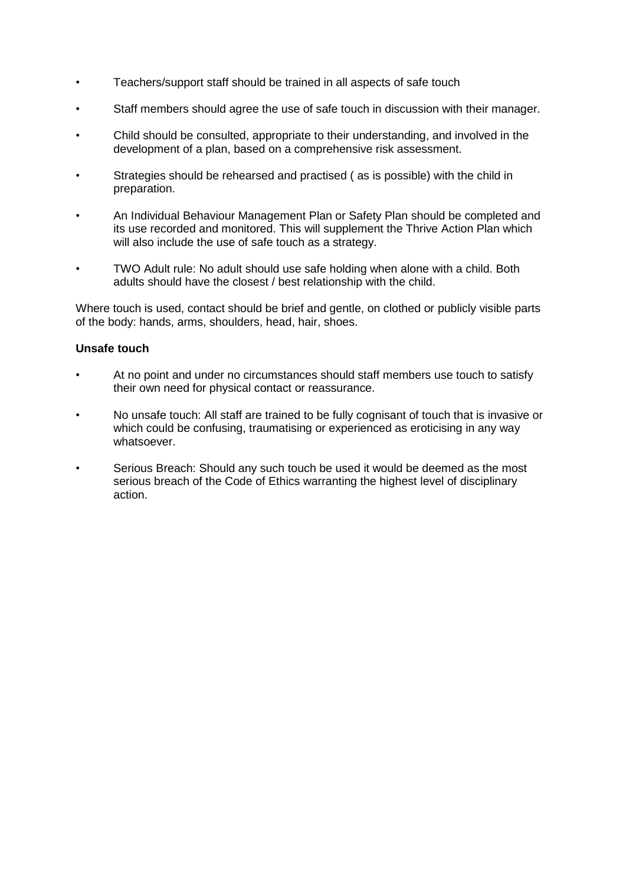- Teachers/support staff should be trained in all aspects of safe touch
- Staff members should agree the use of safe touch in discussion with their manager.
- Child should be consulted, appropriate to their understanding, and involved in the development of a plan, based on a comprehensive risk assessment.
- Strategies should be rehearsed and practised ( as is possible) with the child in preparation.
- An Individual Behaviour Management Plan or Safety Plan should be completed and its use recorded and monitored. This will supplement the Thrive Action Plan which will also include the use of safe touch as a strategy.
- TWO Adult rule: No adult should use safe holding when alone with a child. Both adults should have the closest / best relationship with the child.

Where touch is used, contact should be brief and gentle, on clothed or publicly visible parts of the body: hands, arms, shoulders, head, hair, shoes.

## **Unsafe touch**

- At no point and under no circumstances should staff members use touch to satisfy their own need for physical contact or reassurance.
- No unsafe touch: All staff are trained to be fully cognisant of touch that is invasive or which could be confusing, traumatising or experienced as eroticising in any way whatsoever.
- Serious Breach: Should any such touch be used it would be deemed as the most serious breach of the Code of Ethics warranting the highest level of disciplinary action.